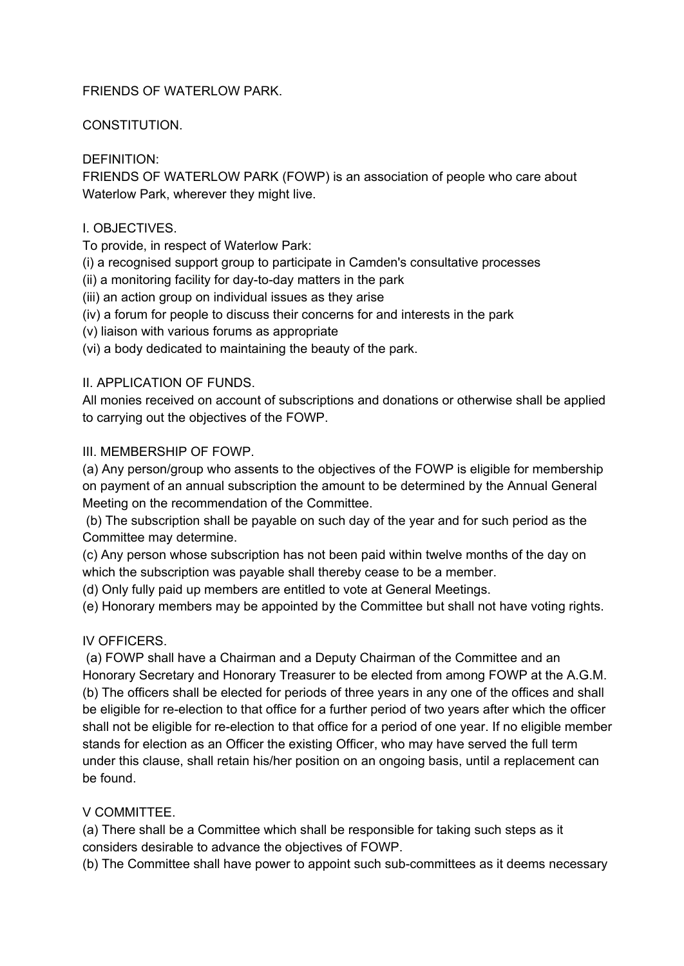#### FRIENDS OF WATERLOW PARK.

### CONSTITUTION.

# DEFINITION:

FRIENDS OF WATERLOW PARK (FOWP) is an association of people who care about Waterlow Park, wherever they might live.

### I. OBJECTIVES.

To provide, in respect of Waterlow Park:

(i) a recognised support group to participate in Camden's consultative processes

 $(ii)$  a monitoring facility for day-to-day matters in the park

- (iii) an action group on individual issues as they arise
- (iv) a forum for people to discuss their concerns for and interests in the park
- (v) liaison with various forums as appropriate

(vi) a body dedicated to maintaining the beauty of the park.

## II. APPLICATION OF FUNDS.

All monies received on account of subscriptions and donations or otherwise shall be applied to carrying out the objectives of the FOWP.

## III. MEMBERSHIP OF FOWP.

(a) Any person/group who assents to the objectives of the FOWP is eligible for membership on payment of an annual subscription the amount to be determined by the Annual General Meeting on the recommendation of the Committee.

(b) The subscription shall be payable on such day of the year and for such period as the Committee may determine.

(c) Any person whose subscription has not been paid within twelve months of the day on which the subscription was payable shall thereby cease to be a member.

(d) Only fully paid up members are entitled to vote at General Meetings.

(e) Honorary members may be appointed by the Committee but shall not have voting rights.

#### IV OFFICERS.

(a) FOWP shall have a Chairman and a Deputy Chairman of the Committee and an Honorary Secretary and Honorary Treasurer to be elected from among FOWP at the A.G.M. (b) The officers shall be elected for periods of three years in any one of the offices and shall be eligible for re-election to that office for a further period of two years after which the officer shall not be eligible for re-election to that office for a period of one year. If no eligible member stands for election as an Officer the existing Officer, who may have served the full term under this clause, shall retain his/her position on an ongoing basis, until a replacement can be found.

# V COMMITTEE.

(a) There shall be a Committee which shall be responsible for taking such steps as it considers desirable to advance the objectives of FOWP.

(b) The Committee shall have power to appoint such sub-committees as it deems necessary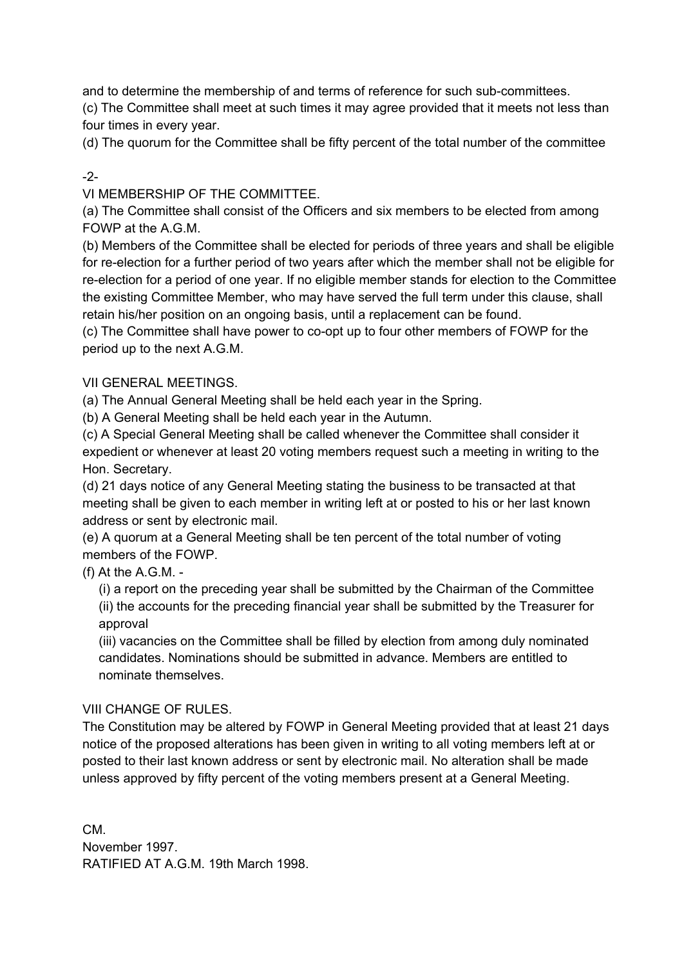and to determine the membership of and terms of reference for such sub-committees.

(c) The Committee shall meet at such times it may agree provided that it meets not less than four times in every year.

(d) The quorum for the Committee shall be fifty percent of the total number of the committee

# $-2-$

VI MEMBERSHIP OF THE COMMITTEE.

(a) The Committee shall consist of the Officers and six members to be elected from among FOWP at the A.G.M.

(b) Members of the Committee shall be elected for periods of three years and shall be eligible for re-election for a further period of two years after which the member shall not be eligible for re-election for a period of one year. If no eligible member stands for election to the Committee the existing Committee Member, who may have served the full term under this clause, shall retain his/her position on an ongoing basis, until a replacement can be found.

(c) The Committee shall have power to co-opt up to four other members of FOWP for the period up to the next A.G.M.

## VII GENERAL MEETINGS.

(a) The Annual General Meeting shall be held each year in the Spring.

(b) A General Meeting shall be held each year in the Autumn.

(c) A Special General Meeting shall be called whenever the Committee shall consider it expedient or whenever at least 20 voting members request such a meeting in writing to the Hon. Secretary.

(d) 21 days notice of any General Meeting stating the business to be transacted at that meeting shall be given to each member in writing left at or posted to his or her last known address or sent by electronic mail.

(e) A quorum at a General Meeting shall be ten percent of the total number of voting members of the FOWP.

(f) At the A.G.M.

(i) a report on the preceding year shall be submitted by the Chairman of the Committee (ii) the accounts for the preceding financial year shall be submitted by the Treasurer for approval

(iii) vacancies on the Committee shall be filled by election from among duly nominated candidates. Nominations should be submitted in advance. Members are entitled to nominate themselves.

#### VIII CHANGE OF RULES.

The Constitution may be altered by FOWP in General Meeting provided that at least 21 days notice of the proposed alterations has been given in writing to all voting members left at or posted to their last known address or sent by electronic mail. No alteration shall be made unless approved by fifty percent of the voting members present at a General Meeting.

CM. November 1997. RATIFIED AT A.G.M. 19th March 1998.